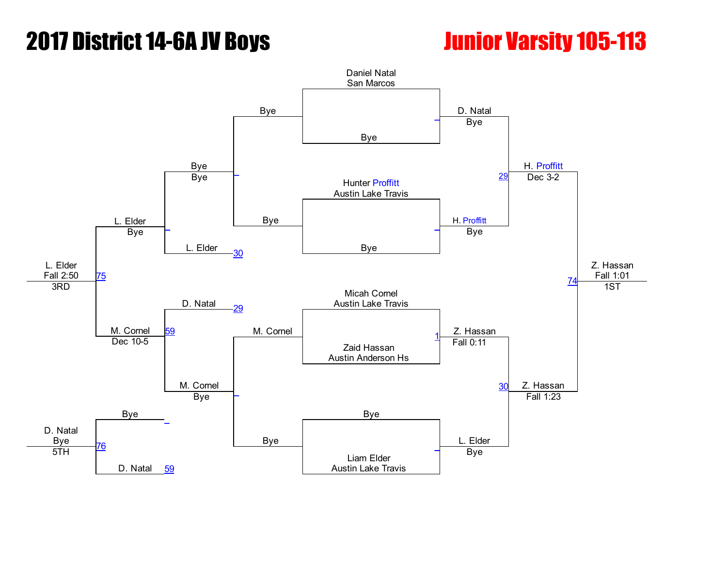## **2017 District 14-6A JV Boys The Control of Contract 105-113**

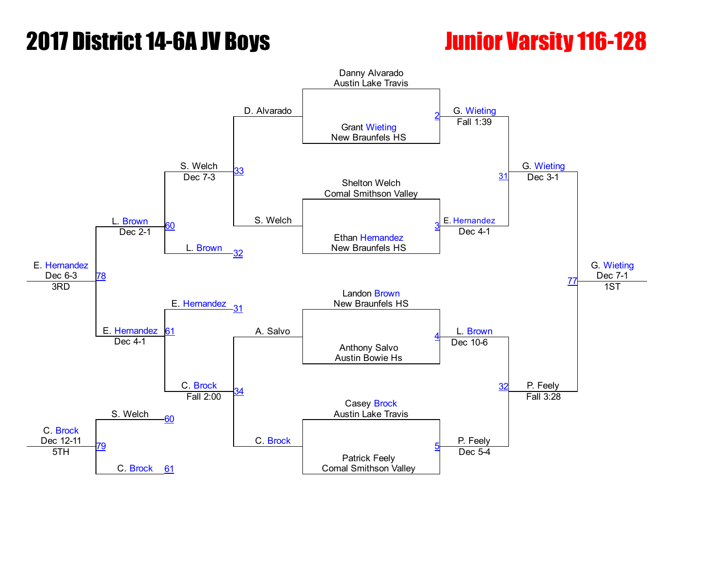## **2017 District 14-6A JV Boys The Control Control Control of Control Control Control Control Control Control Control Control Control Control Control Control Control Control Control Control Control Control Control Control Co**

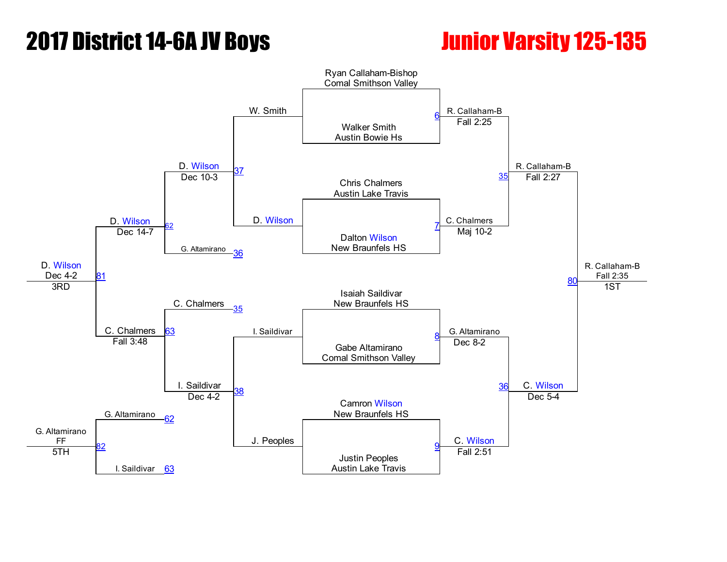## **2017 District 14-6A JV Boys The Constructure Construction Construction Construction Construction Construction**

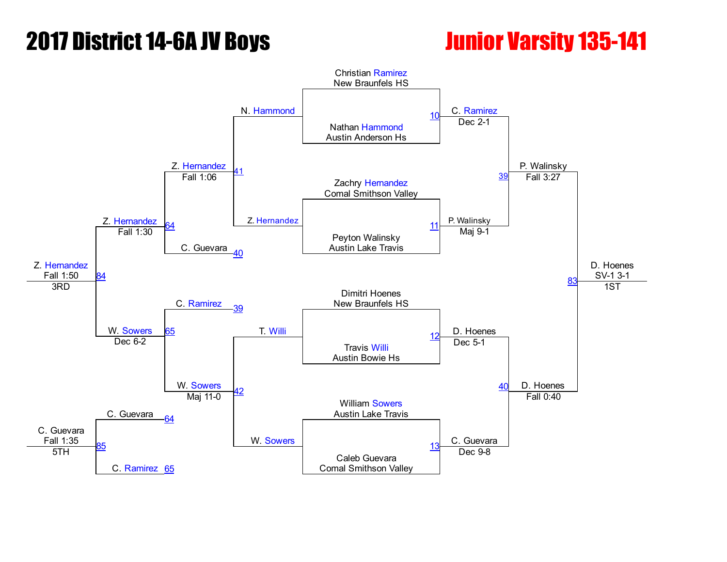## **2017 District 14-6A JV Boys The Constitution Construction Constitution Constitution Constitution Constitution**

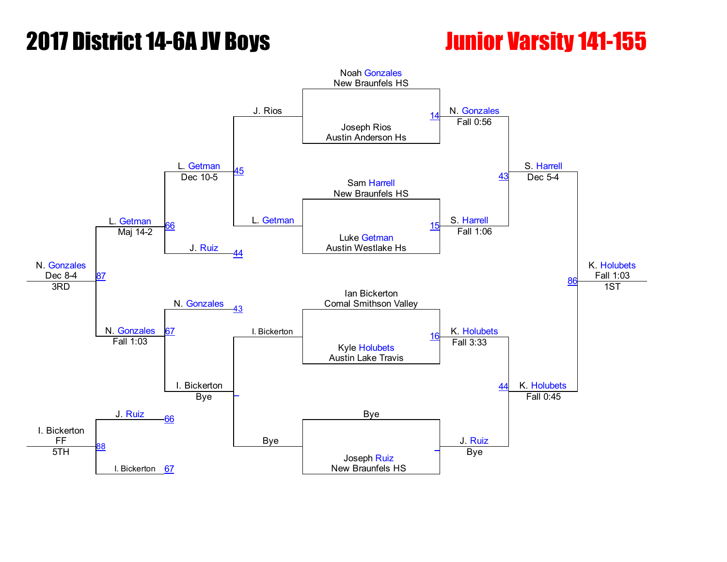## **2017 District 14-6A JV Boys The Convention Convention Convention 141-155**

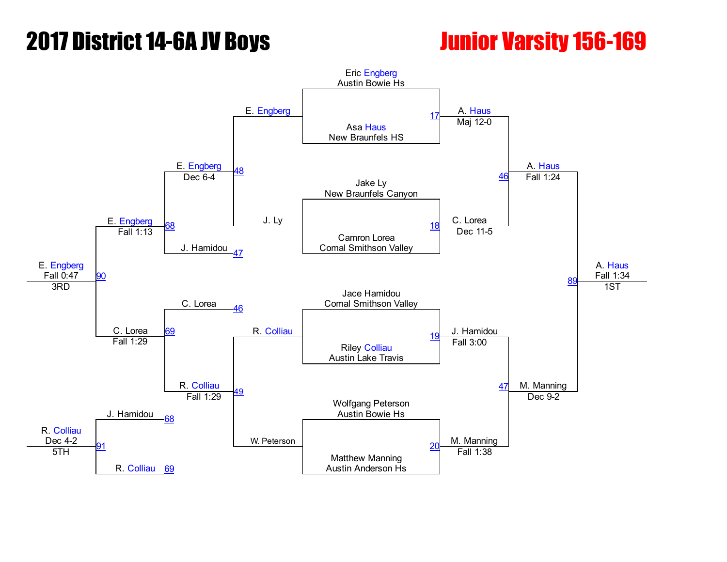## **2017 District 14-6A JV Boys Junior Varsity 156-169**

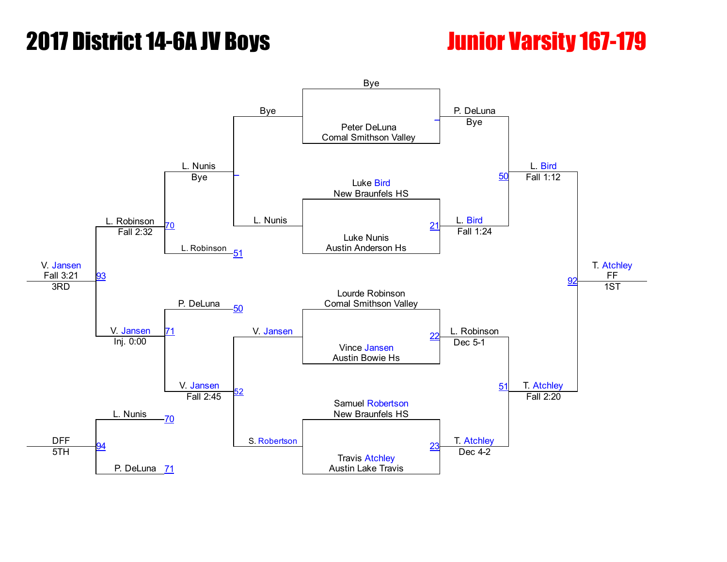## **2017 District 14-6A JV Boys The Control of Contract 167-179**

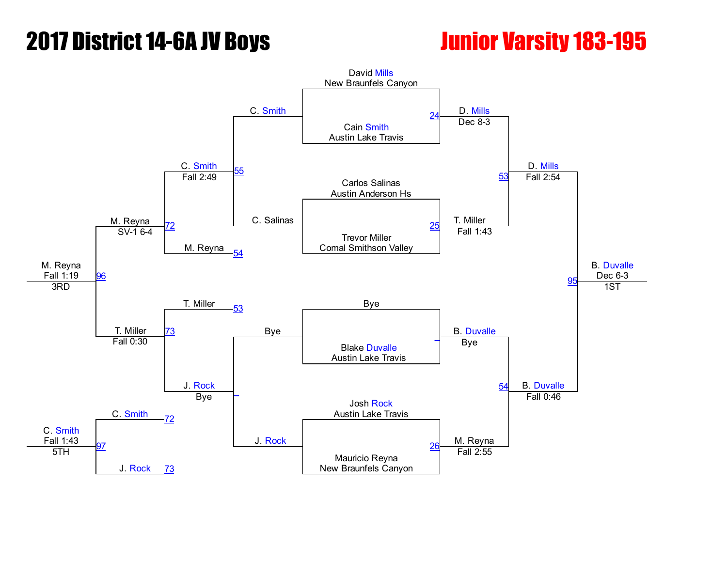## **2017 District 14-6A JV Boys The Constructure Construction Construction Construction Construction Construction**

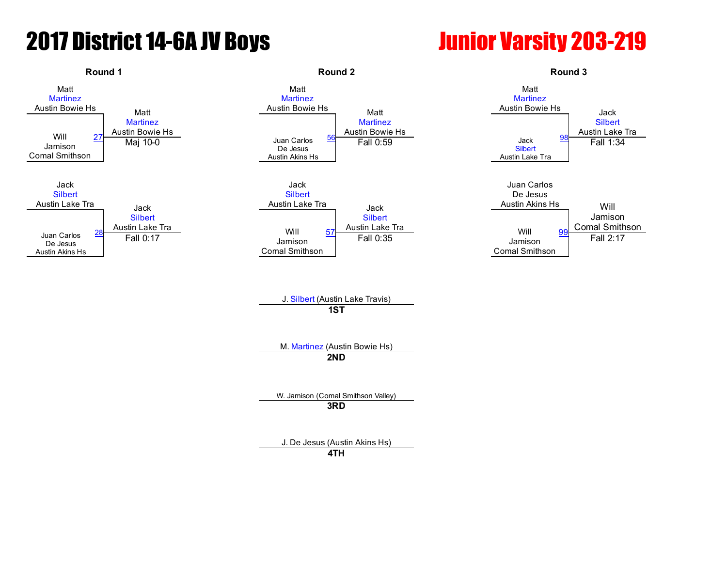# **2017 District 14-6A JV Boys Junior Varsity 203-219**

### Round 1 **Round 2** Round 2 **Round 2** Round 2 **Round 3** Round 3 Matt **[Martinez](javascript:viewProfile(619181096))** Austin Bowie Hs Matt **[Martinez](javascript:viewProfile(619181096))** Austin Bowie Hs Matt **[Martinez](javascript:viewProfile(619181096))** Austin Bowie Hs
Matt **[Martinez](javascript:viewProfile(619181096))** Austin Bowie Hs Matt **[Martinez](javascript:viewProfile(619181096))** Austin Bowie Hs Jack **[Silbert](javascript:viewProfile(619421096))** Will  $\begin{array}{ccc}\n 27 & \text{Austin} \text{ Bowie Hs} \\
 \text{Austin} & \text{Bowie Hs}\n \end{array}$ Jamison Comal Smithson [27](javascript:openBoutSheet(1,) Mai 10-0<br>Mai 10-0 Juan Carlos De Jesus Austin Akins Hs  $\frac{56}{56}$  $\frac{56}{56}$  $\frac{56}{56}$  Fall 0:59 **[Silbert](javascript:viewProfile(619421096))** Austin Lake Tra and the same of the same of the same of the same of the same of the same of the same of the same of the same o<br>Maj 10-0 Fall 1:34 Jack **[Silbert](javascript:viewProfile(619421096))** Austin Lake Tra Jack **[Silbert](javascript:viewProfile(619421096))** <u>[28](javascript:openBoutSheet(2,)</u> Austin Lake Tra<br>——————————————————————————— Will Jack **[Silbert](javascript:viewProfile(619421096))** Austin Lake Tra Jack **[Silbert](javascript:viewProfile(619421096))** [57](javascript:openBoutSheet(4,) Austin Lake Tra<br>57 Austin Lake Tra Juan Carlos De Jesus Austin Akins Hs Will Jamison Comal Smithson Juan Carlos De Jesus Austin Akins Hs Jamison Comal Smithson Jamison Comal Smithson [99](javascript:openBoutSheet(6,) Fall 0:17 Fall 0:35 Fall 0:35 Fall 0:35 Fall 0:37 Fall 0:37 Fall 0:37 Fall 0:37 Fall 2:17 J. [Silbert](javascript:viewProfile(619421096)) (Austin Lake Travis) 1ST M. [Martinez](javascript:viewProfile(619181096)) (Austin Bowie Hs) 2ND W. Jamison (Comal Smithson Valley) 3RD J. De Jesus (Austin Akins Hs)

4TH